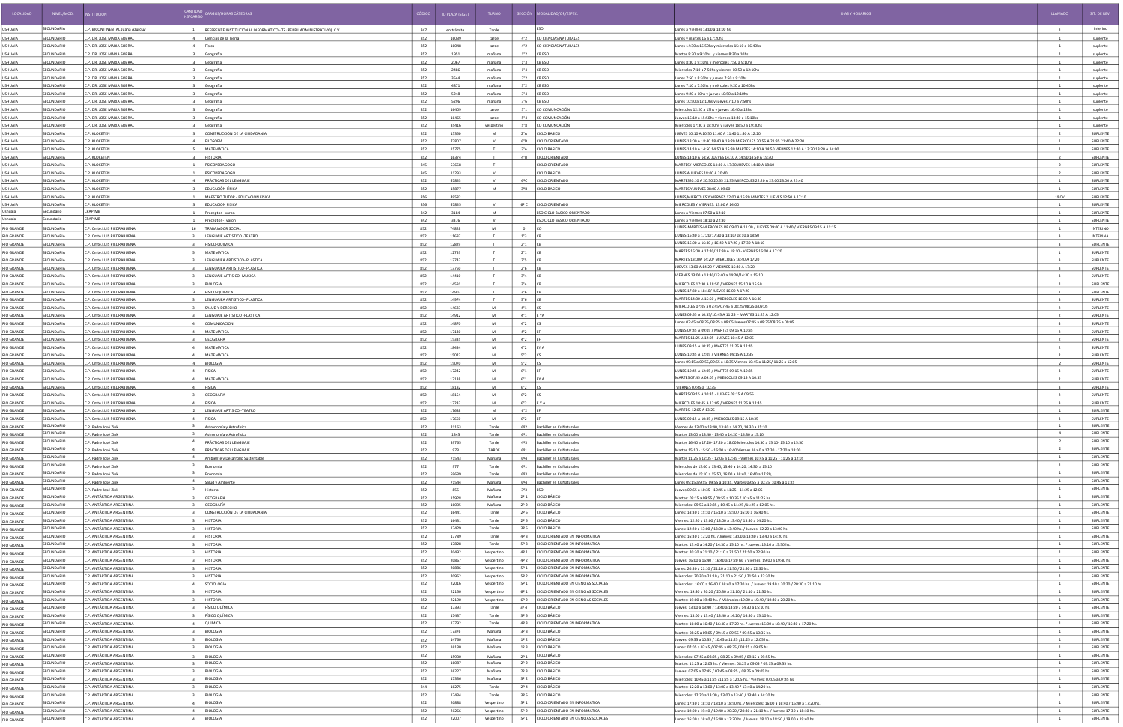| LOCALIDAD                              | NIVEL/MOD.                      | <b>STITUCIÓN</b>                                            | RGOS/HORAS CÁTEDRAS                                                   |            | ID PLAZA (SIGE) | <b>TURNO</b>             |                              | SECCIÓN MODALIDAD/OR/ESPEC.                                                      | DÍAS Y HORARIOS                                                                                                                                          | LLAMADO                          | SIT. DE REV.         |
|----------------------------------------|---------------------------------|-------------------------------------------------------------|-----------------------------------------------------------------------|------------|-----------------|--------------------------|------------------------------|----------------------------------------------------------------------------------|----------------------------------------------------------------------------------------------------------------------------------------------------------|----------------------------------|----------------------|
| USHUAIA                                | <b>SECUNDARIA</b>               | C.P. BICONTINENTAL Juana Azurduy                            | 1 REFERENTE INSTITUCIONAL INFORMATICO - TS (PERFIL ADMINISTRATIVO) CV | 847        | en trámite      | Tarde                    |                              | <b>ESO</b>                                                                       | Lunes a Viernes 13:00 a 18:00 hs                                                                                                                         |                                  | Interino             |
| <b>USHUAIA</b>                         | <b>CUNDARIO</b>                 | .P. DR. JOSE MARIA SOBRA                                    | 4 Ciencias de la Tierra                                               | 852        | 16039           | tarde                    |                              | 4°2 CO CIENCIAS NATURALES                                                        | nes y martes 16 a 17:20hs                                                                                                                                |                                  | suplente             |
| <b>USHUAIA</b>                         | ECUNDARIO                       | C.P. DR. JOSE MARIA SOBRA                                   | 4 Física                                                              | 852        | 16048           | tarde                    |                              | 4°2 CO CIENCIAS NATURALES                                                        | unes 14:30 a 15:50hs y miércoles 15:10 a 16:40hs                                                                                                         |                                  | suplente             |
| USHUAIA                                | ECUNDARIO                       | C.P. DR. JOSE MARIA SOBRAL                                  | 3 Geografía                                                           | 852        | 1951            | mañana                   | 1°2 CB ESO                   |                                                                                  | Martes 8:30 a 9:10hs y viernes 8:30 a 10hs                                                                                                               |                                  | suplente             |
| <b>USHUAIA</b>                         | CUNDARIO                        | C.P. DR. JOSE MARIA SOBRA                                   | 3 Geografía                                                           | 852        | 2067            | mañana                   |                              | 1°3 CB ESO                                                                       | unes 8:30 a 9:10hs y miércoles 7:50 a 9:10hs                                                                                                             |                                  | suplente             |
| USHUAIA                                | ECUNDARIO                       | C.P. DR. JOSE MARIA SOBRAL                                  | Geografía                                                             | 852        | 2486            | mañana                   |                              | 1°4 CB ESO                                                                       | Aiércoles 7:10 a 7:50hs y viernes 10:50 a 12:10hs                                                                                                        |                                  | suplente             |
| <b>USHUAIA</b><br><b>JSHUAIA</b>       | CUNDARIO<br>CUNDARIO            | C.P. DR. JOSE MARIA SOBRAL<br>C.P. DR. JOSE MARIA SOBRAL    | Geografía<br>Geografía                                                | 852<br>852 | 3544<br>4871    | mañana<br>mañana         | 3°2                          | 2°2 CB ESO<br><b>CB ESO</b>                                                      | unes 7:50 a 8:30hs y jueves 7:50 a 9:10hs<br>ines 7:10 a 7:50hs y miércoles 9:20 a 10:40hs                                                               |                                  | suplente<br>suplente |
| <b>USHUAIA</b>                         | CUNDARIO                        | C.P. DR. JOSE MARIA SOBRA                                   | Geografía                                                             | 852        | 5248            | mañana                   |                              | $3°4$ CB ESO                                                                     | nes 9:20 a 10hs y jueves 10:50 a 12:10hs                                                                                                                 |                                  | suplente             |
| <b>USHUAIA</b>                         | <b>CUNDARIO</b>                 | C.P. DR. JOSE MARIA SOBRAL                                  | Geografía                                                             | 852        | 5296            | mañana                   |                              | $3°6$ CB ESO                                                                     | unes 10:50 a 12:10hs y jueves 7:10 a 7:50hs                                                                                                              |                                  | suplente             |
| USHUAIA                                | ECUNDARIO                       | C.P. DR. JOSE MARIA SOBRA                                   | 3 Geografía                                                           | 852        | 16409           | tarde                    |                              | 5°1 CO COMUNCACIÓN                                                               | Miércoles 12:20 a 13hs y jueves 16:40 a 18hs                                                                                                             |                                  | suplente             |
| USHUAIA                                | ECUNDARIO                       | C.P. DR. JOSE MARIA SOBRAL                                  | 3 Geografía                                                           | 852        | 16465           | tarde                    |                              | 5°4 CO COMUNCACIÓN                                                               | lueves 15:10 a 15:50hs y viernes 13:40 a 15:10hs                                                                                                         | $\overline{1}$                   | suplente             |
| <b>USHUAIA</b><br>USHUAIA              | ECUNDARIO<br>FCUNDARIA          | C.P. DR. JOSE MARIA SOBRA<br>C.P. KLOKETEN                  | 3 Geografía<br>3 CONSTRUCCIÓN DE LA CIUDADANÍA                        | 852<br>852 | 35416<br>15360  | vespertino<br><b>M</b>   | 5°8                          | CO COMUNCACIÓN<br>2°A CICLO BASICO                                               | Miércoles 17:30 a 18:50hs y jueves 18:50 a 19:30hs<br>IUEVES 10:10 A 10:50 11:00 A 11:40 11:40 A 12:20                                                   |                                  | suplente<br>SUPLENTE |
| <b>USHUAIA</b>                         | CUNDARIA                        | .P. KLOKETEN                                                | 4 FILOSOFÍA                                                           | 852        | 72807           |                          | 6°D                          | <b>CICLO ORIENTADO</b>                                                           | UNES 18:00 A 18:40 18:40 A 19:20 MIERCOLES 20:55 A 21:35 21:40 A 22:20                                                                                   |                                  | SUPLENTE             |
| <b>USHUAIA</b>                         | <b>CUNDARIA</b>                 | .P. KLOKETEN                                                | MATEMÁTICA                                                            | 852        | 15775           |                          | $3^{\circ}$ A                | <b>CICLO BASICO</b>                                                              | UNES 14:10 A 14:50 14:50 A 15:30 MARTES 14:10 A 14:50 VIERNES 12:40 A 13:20 13:20 A 14:00                                                                |                                  | SUPLENTE             |
| USHUAIA                                | <b>CUNDARIA</b>                 | .P. KLOKETEN                                                | <b>HISTORIA</b>                                                       | 852        | 16374           | T                        | $4^{\circ}B$                 | <b>CICLO ORIENTADO</b>                                                           | LUNES 14:10 A 14:50 JUEVES 14.10 A 14:50 14:50 A 15:30                                                                                                   |                                  | SUPLENTE             |
| USHUAIA                                | FCUNDARIA                       | C.P. KLOKETEN                                               | PSICOPEDAGOGO                                                         | 845        | 53668           | T                        |                              | <b>CICLO ORIENTADO</b>                                                           | MARTESY MIERCOLES 14:40 A 17:30 JUEVES 14:10 A 18:10                                                                                                     |                                  | SUPLENTE             |
| <b>USHUAIA</b><br>USHUAIA              | CUNDARIA<br>ECUNDARIA           | .P. KLOKETEN<br>.P. KLOKETEN                                | PSICOPEDAGOGC<br>PRÀCTICAS DEL LENGUAJE                               | 845<br>852 | 11293<br>47843  | $\mathbf{v}$             | 6ºC                          | <b>CICLO BASICO</b><br>CICLO ORIENTADO                                           | UNES A JUEVES 18:00 A 20:40<br>MARTES20:10 A 20:50 20:55 21:35 MIERCOLES 22:20 A 23:00 23:00 A 23:40                                                     |                                  | SUPLENTE<br>SUPLENTE |
| <b>USHUAIA</b>                         | CUNDARIA                        | .P. KLOKETEN                                                | EDUCACIÓN FÍSICA                                                      | 852        | 15877           | M                        | 3 <sup>0</sup> B             | <b>CICLO BASICO</b>                                                              | MARTES Y JUEVES 08:00 A 09:00                                                                                                                            |                                  | SUPLENTE             |
| USHUAIA                                | ECUNDARIA                       | C.P. KLOKETEN                                               | MAESTRO TUTOR - EDUCACIÓN FÍSICA                                      | 856        | 49582           |                          |                              |                                                                                  | JNES, MIERCOLES Y VIERNES 12:00 A 16:20 MARTES Y JUEVES 12:50 A 17:10                                                                                    | 1º CV                            | SUPLENTE             |
| <b>USHUAIA</b>                         | CUNDARIA                        | P. KLOKETEN                                                 | <b>EDUCACION FISICA</b>                                               | 856        | 47845           |                          | 69C                          | <b>CICLO ORIENTADO</b>                                                           | AIERCOLES Y VIERNES: 13:00 A 14:00                                                                                                                       |                                  | SUPLENTE             |
| <b>Ushuaia</b>                         | Secundario                      | CPAPIMB                                                     | Preceptor - varon                                                     | 842        | 3184            | M                        |                              | ESO CICLO BASICO ORIENTADO                                                       | unes a Viernes 07:50 a 12:10                                                                                                                             |                                  | SUPLENTE             |
| Ushuaia                                | Secundario                      | CPAPIMB                                                     | Preceptor - varon                                                     | 842        | 3376            | M                        |                              | ESO CICLO BASICO ORIENTADO                                                       | unes a Viernes 18:10 a 22:30<br>LUNES-MARTES-MIERCOLES DE 09:00 A 11:00 / JUEVES 09:00 A 11:40 / VIERNES 09:15 A 11:15                                   |                                  | SUPLENTE             |
| <b>RIO GRANDE</b><br><b>RIO GRANDE</b> | <b>CUNDARIA</b><br>CUNDARIA     | C.P. Cmte.LUIS PIEDRABUENA<br>C.P. Cmte.LUIS PIEDRABUENA    | <b>TRABAJADOR SOCIAL</b><br>LENGUAJE ARTISTICO - TEATRO               | 852<br>852 | 74828<br>11697  |                          | 1°3                          |                                                                                  | LUNES 16:40 a 17:20/17:30 a 18:10/18:10 a 18:50                                                                                                          |                                  | INTERINO<br>INTERINA |
| <b>RIO GRANDE</b>                      | ECUNDARIA                       | C.P. Cmte.LUIS PIEDRABUENA                                  | 3 FISICO-QUIMICA                                                      | 852        | 12829           |                          | 2°1                          |                                                                                  | LUNES 16:00 A 16:40 / 16:40 A 17:20 / 17:30 A 18:10                                                                                                      |                                  | SUPLENTE             |
| <b>RIO GRANDE</b>                      | CUNDARIA                        | C.P. Cmte.LUIS PIEDRABUENA                                  | MATEMATICA                                                            | 852        | 12753           |                          | 2°1                          |                                                                                  | MARTES 16:00 A 17:20/ 17:30 A 18:10 - VIERNES 16:00 A 17:20                                                                                              |                                  | SUPLENTE             |
| <b>RIO GRANDE</b>                      | ECUNDARIA                       | C.P. Cmte.LUIS PIEDRABUENA                                  | 3 LENGUAJEA ARTISTICO- PLASTICA                                       | 852        | 13742           |                          | 2°5                          |                                                                                  | MARTES 13:00A 14:20/ MIERCOLES 16:40 A 17:20                                                                                                             |                                  | SUPLENTE             |
| <b>RIO GRANDE</b>                      | CUNDARIA<br>CUNDARIA            | C.P. Cmte.LUIS PIEDRABUENA                                  | LENGUAJEA ARTISTICO- PLASTICA                                         | 852<br>852 | 13760           |                          | $2^{\circ}6$<br>3°4          |                                                                                  | JUEVES 13:00 A 14:20 / VIERNES 16:40 A 17:20<br>VIERNES 13:00 a 13:40/13:40 a 14:20/14:30 a 15:10                                                        |                                  | SUPLENTE             |
| <b>RIO GRANDE</b><br><b>RIO GRANDE</b> | <b>UNDARI</b>                   | C.P. Cmte.LUIS PIEDRABUENA<br>.P. Cmte.LUIS PIEDRABUENA     | LENGUAJE ARTISICO - MUSICA<br><b>BIOLOGIA</b>                         | 852        | 14410<br>1459   |                          | 3°4                          |                                                                                  | AIERCOLES 17:30 A 18:50 / VIERNES 15:10 A 15:50                                                                                                          |                                  | SUPLENTE<br>SUPLENTE |
| <b>RIO GRANDE</b>                      | ECUNDARIA                       | C.P. Cmte.LUIS PIEDRABUENA                                  | FISICO-QUIMICA                                                        | 852        | 14907           |                          | $3^{\circ}6$                 |                                                                                  | LUNES 17:30 a 18:10/ JUEVES 16:00 A 17:20                                                                                                                |                                  | SUPLENTE             |
| <b>RIO GRANDE</b>                      | CUNDARIA                        | C.P. Cmte.LUIS PIEDRABUENA                                  | 3 LENGUAJEA ARTISTICO- PLASTICA                                       | 852        | 14974           |                          | $3^{\circ}6$                 |                                                                                  | MARTES 14:30 A 15:50 / MIERCOLES 16:00 A 16:40                                                                                                           |                                  | SUPLENTE             |
| <b>RIO GRANDE</b>                      | ECUNDARIA                       | C.P. Cmte.LUIS PIEDRABUENA                                  | 3 SALUD Y DERECHO                                                     | 852        | 14683           | M                        | $4^{\circ}1$                 |                                                                                  | MIERCOLES 07:05 a 07:45/07:45 a 08:25/08:25 a 09:05                                                                                                      |                                  | SUPLENTE             |
| <b>RIO GRANDE</b>                      | CUNDARIA                        | C.P. Cmte.LUIS PIEDRABUENA                                  | 3 LENGUAJE ARTISTICO - PLASTICA                                       | 852        | 14912           | M                        | $4^{\circ}1$ EYA             |                                                                                  | LUNES 09:55 A 10:35/10:45 A 11:25 - MARTES 11:25 A 12:05<br>Lunes 07:45 a 08:25/08:25 a 09:05 Jueves 07:45 a 08:25/08:25 a 09:05                         |                                  | SUPLENTE             |
| <b>RIO GRANDE</b><br><b>RIO GRANDE</b> | ECUNDARIA<br><b>CUNDARIA</b>    | C.P. Cmte.LUIS PIEDRABUENA<br>C.P. Cmte.LUIS PIEDRABUENA    | 4 COMUNICACION<br>4 MATEMATICA                                        | 852<br>852 | 14870<br>17130  | M<br>M                   | $4^{\circ}2$<br>$4^{\circ}2$ |                                                                                  | LUNES 07:45 A 09:05 / MARTES 09:15 A 10:35                                                                                                               | $\mathbf{A}$                     | SUPLENTE<br>SUPLENTE |
| <b>RIO GRANDE</b>                      | CUNDARIA                        | C.P. Cmte.LUIS PIEDRABUENA                                  | <b>GEOGRAFIA</b>                                                      | 852        | 15335           | M                        | $4^{\circ}2$                 |                                                                                  | MARTES 11:25 A 12:05 - JUEVES 10:45 A 12:05                                                                                                              |                                  | SUPLENTE             |
| <b>RIO GRANDE</b>                      | <b>CUNDARI</b>                  | C.P. Cmte.LUIS PIEDRABUENA                                  | 4 MATEMATICA                                                          | 852        | 18434           |                          | $4^{\circ}2$                 | IFY A                                                                            | LUNES 09:15 A 10:35 / MARTES 11:25 A 12:45                                                                                                               |                                  | SUPLENTE             |
| <b>RIO GRANDE</b>                      | <b>CUNDARIA</b>                 | C.P. Cmte.LUIS PIEDRABUENA                                  | 4 MATEMATICA                                                          | 852        | 15022           | M                        | 5°2                          |                                                                                  | LUNES 10:45 A 12:05 / VIERNES 09:15 A 10:35                                                                                                              |                                  | SUPLENTE             |
| <b>RIO GRANDE</b>                      | <b>CUNDARIA</b>                 | C.P. Cmte.LUIS PIEDRABUENA                                  | 4 BIOLOGIA                                                            | 852        | 15070           |                          | 5°2                          |                                                                                  | Lunes 09:15 a 09:55/09:55 a 10:35 Viernes 10:45 a 11:25/ 11:25 a 12:05                                                                                   |                                  | SUPLENTE             |
| <b>RIO GRANDE</b>                      | CUNDARIA                        | C.P. Cmte.LUIS PIEDRABUENA                                  | 4 FISICA                                                              | 852        | 17242           | M                        | 6°1                          |                                                                                  | UNES 10:45 A 12:05 / MARTES 09:15 A 10:3!<br>MARTES 07:45 A 09:05 / MIERCOLES 09:15 A 10:35                                                              |                                  | SUPLENTE             |
| <b>RIO GRANDE</b><br><b>RIO GRANDE</b> | CUNDARIA<br>ECUNDARIA           | C.P. Cmte.LUIS PIEDRABUENA<br>C.P. Cmte.LUIS PIEDRABUENA    | 4 MATEMATICA<br>4 FISICA                                              | 852<br>852 | 17138<br>18182  | M                        | 6°1<br>6°2                   |                                                                                  | VIERNES 07:45 a 10:35                                                                                                                                    |                                  | SUPLENTE<br>SUPLENTE |
| <b>RIO GRANDE</b>                      | CUNDARIA                        | C.P. Cmte.LUIS PIEDRABUENA                                  | <b>GEOGRAFIA</b>                                                      | 852        | 18154           |                          | 6°2                          |                                                                                  | MARTES 09:15 A 10:35 - JUEVES 09:15 A 09:55                                                                                                              |                                  | SUPLENTE             |
| <b>RIO GRANDE</b>                      | CUNDARIA                        | C.P. Cmte.LUIS PIEDRABUENA                                  | 4 FISICA                                                              | 852        | 17232           |                          | 6°2                          |                                                                                  | MIERCOLES 10:45 A 12:05 / VIERNES 11:25 A 12:45                                                                                                          |                                  | SUPLENTE             |
| <b>RIO GRANDE</b>                      | ECUNDARIA                       | C.P. Cmte.LUIS PIEDRABUENA                                  | LENGUAJE ARTISICO - TEATRO                                            | 852        | 1768            |                          | 6°2                          |                                                                                  | MARTES: 12:05 A 13:25                                                                                                                                    |                                  | SUPLENTE             |
| <b>RIO GRANDE</b>                      | SECUNDARIA<br>SECUNDARIO        | C.P. Cmte.LUIS PIEDRABUENA                                  | 4 FISICA                                                              | 852        | 17660           | M                        | $6°2$ EF                     |                                                                                  | LUNES 09:15 A 10:35 / MIERCOLES 09:15 A 10:35                                                                                                            | $\overline{1}$                   | SUPLENTE<br>SUPLENTE |
| <b>RIO GRANDE</b><br><b>RIO GRANDE</b> | <b>SECUNDARIO</b>               | C.P. Padre José Zink<br>C.P. Padre José Zink                | 3 Astronomía y Astrofísica<br>3 Astronomía y Astrofísica              | 852<br>852 | 21163<br>1345   | Tarde<br>Tarde           | 6º2                          | Bachiller en Cs Naturales<br>6º1 Bachiller en Cs Naturales                       | /iernes de 13:00 a 13:40, 13:40 a 14:20, 14:30 a 15:10<br>Martes 13:00 a 13:40 - 13:40 a 14:20 - 14:30 a 15:10                                           | 4                                | SUPLENTE             |
| <b>RIO GRANDE</b>                      | SECUNDARIO                      | C.P. Padre José Zink                                        | 4 PRÁCTICAS DEL LENGUAJE                                              | 852        | 39765           | Tarde                    |                              | 4º3 Bachiller en Cs Naturales                                                    | Martes 16:40 a 17:20- 17:20 a 18:00 Miercoles 14:30 a 15:10- 15:10 a 15:50                                                                               | $\overline{2}$                   | SUPLENTE             |
| <b>RIO GRANDE</b>                      | SECUNDARIO                      | C.P. Padre José Zink                                        | 4 PRÁCTICAS DEL LENGUAJE                                              | 852        | 973             | TARDE                    |                              | 6º1 Bachiller en Cs Naturales                                                    | Martes 15:10 - 15:50 - 16:00 a 16:40 Viernes 16:40 a 17:20 - 17:20 a 18:00                                                                               | $\overline{2}$                   | SUPLENTE             |
| <b>RIO GRANDE</b>                      | SECUNDARIO                      | C.P. Padre José Zink                                        | 4 Ambiente y Desarrollo Sustentable                                   | 852        | 71543           | Mañana                   |                              | 6º4 Bachiller en Cs Naturales                                                    | Martes 11:25 a 12:05 - 12:05 a 12:45 - Viernes 10:45 a 11:25 - 11:25 a 12:05                                                                             | $\overline{1}$                   | SUPLENTE             |
| <b>RIO GRANDE</b>                      | <b>SECUNDARIO</b>               | $3^{\circ}$<br>C.P. Padre José Zink                         | Economia                                                              | 852        | 977             | Tarde                    |                              | 6º1 Bachiller en Cs Naturales                                                    | Miercoles de 13:00 a 13:40, 13:40 a 14:20, 14:30 a 15:10                                                                                                 | $\overline{1}$                   | SUPLENTE             |
| <b>RIO GRANDE</b><br><b>RIO GRANDE</b> | SECUNDARIO<br>SECUNDARIO        | $3^{\circ}$<br>C.P. Padre José Zink<br>C.P. Padre José Zink | conomia<br>4 Salud y Ambiente                                         | 852<br>852 | 59639<br>71544  | Tarde<br>Mañana          | 6º4                          | 6º3 Bachiller en Cs Naturales<br>Bachiller en Cs Naturales                       | Miercoles de 15:10 a 15:50, 16:00 a 16:40, 16:40 a 17:20,<br>unes 09:15 a 9:55, 09:55 a 10:35, Martes 09:55 a 10:35, 10:45 a 11:25                       | $\overline{1}$<br>$\overline{1}$ | SUPLENTE<br>SUPLENTE |
| <b>RIO GRANDE</b>                      | SECUNDARIO                      | C.P. Padre José Zink                                        | 3 Historia                                                            | 852        | 855             | Mañana                   | 323                          | ESO                                                                              | ueves 09:55 a 10:35 - 10:45 a 11:25 - 11:25 a 12:05                                                                                                      | $\overline{1}$                   | SUPLENTE             |
| <b>RIO GRANDE</b>                      | SECUNDARIO                      | C.P. ANTÁRTIDA ARGENTINA                                    | 3 GEOGRAFÍA                                                           | 852        | 15928           | Mañana                   |                              | 2º 1 CICLO BÁSICO                                                                | Martes: 09:15 a 09:55 / 09:55 a 10:35 / 10:45 a 11:25 hs.                                                                                                | $\mathbf{1}$                     | SUPLENTE             |
| <b>RIO GRANDE</b>                      | SECUNDARIO                      | C.P. ANTÁRTIDA ARGENTINA                                    | 3 GEOGRAFÍA                                                           | 852        | 16035           | Mañana                   |                              | 2º 2 CICLO BÁSICO                                                                | Miércoles: 09:55 a 10:35 / 10:45 a 11:25 /11:25 a 12:05 hs.                                                                                              | <sup>1</sup>                     | SUPLENTE             |
| <b>RIO GRANDE</b>                      | SECUNDARIO                      | C.P. ANTÁRTIDA ARGENTINA                                    | 3 CONSTRUCCIÓN DE LA CIUDADANÍA                                       | 852        | 16441           | Tarde                    |                              | 2º 5 CICLO BÁSICO                                                                | Lunes: 14:30 a 15:10 / 15:10 a 15:50 / 16:00 a 16:40 hs.                                                                                                 | $\overline{1}$                   | SUPLENTE             |
| <b>RIO GRANDE</b><br><b>RIO GRANDE</b> | SECUNDARIO<br><b>SECUNDARIO</b> | C.P. ANTÁRTIDA ARGENTINA<br>C.P. ANTÁRTIDA ARGENTINA        | 3 HISTORIA<br>3 HISTORIA                                              | 852<br>852 | 16431<br>17429  | Tarde<br>Tarde           | $2^{\circ}5$                 | <b>CICLO BÁSICO</b><br>3º 5 CICLO BÁSICO                                         | Viernes: 12:20 a 13:00 / 13:00 a 13:40 / 13:40 a 14:20 hs.<br>Lunes: 12:20 a 13:00 / 13:00 a 13:40 hs. / Jueves: 12:20 a 13:00 hs.                       | $\overline{1}$<br>$\overline{1}$ | SUPLENTE<br>SUPLENTE |
| <b>RIO GRANDE</b>                      | SECUNDARIO                      | C.P. ANTÁRTIDA ARGENTINA                                    | 3 HISTORIA                                                            | 852        | 17789           | Tarde                    |                              | 4º 3 CICLO ORIENTADO EN INFORMÁTICA                                              | Lunes: 16:40 a 17:20 hs. / Jueves: 13:00 a 13:40 / 13:40 a 14:20 hs.                                                                                     | $\overline{1}$                   | SUPLENTE             |
| <b>RIO GRANDE</b>                      | SECUNDARIO                      | C.P. ANTÁRTIDA ARGENTINA                                    | 3 HISTORIA                                                            | 852        | 17828           | Tarde                    |                              | 5º 3 CICLO ORIENTADO EN INFORMÁTICA                                              | Martes: 13:40 a 14:20 / 14:30 a 15:10 hs. / Jueves: 15:10 a 15:50 hs.                                                                                    | $\overline{1}$                   | SUPLENTE             |
| <b>RIO GRANDE</b>                      | SECUNDARIO                      | C.P. ANTÁRTIDA ARGENTINA                                    | 3 HISTORIA                                                            | 852        | 20492           | Vespertino               |                              | 4º 1 CICLO ORIENTADO EN INFORMÁTICA                                              | Martes: 20:30 a 21:10 / 21:10 a 21:50 / 21:50 a 22:30 hs.                                                                                                | $\mathbf{1}$                     | SUPLENTE             |
| <b>RIO GRANDE</b>                      | SECUNDARIO                      | IC.P. ANTÁRTIDA ARGENTINA                                   | 3 HISTORIA                                                            | 852        | 20867           | Vespertino               |                              | 4º 2 CICLO ORIENTADO EN INFORMÁTICA                                              | Jueves: 16:00 a 16:40 / 16:40 a 17:20 hs. / Viernes: 19:00 a 19:40 hs.                                                                                   | $\overline{1}$                   | SUPLENTE             |
| <b>RIO GRANDE</b>                      | SECUNDARIO                      | C.P. ANTÁRTIDA ARGENTINA                                    | 3 HISTORIA                                                            | 852        | 20886           | Vespertino               |                              | 5º 1 CICLO ORIENTADO EN INFORMÁTICA                                              | Lunes: 20:30 a 21:10 / 21:10 a 21:50 / 21:50 a 22:30 hs.                                                                                                 | <sup>1</sup>                     | SUPLENTE             |
| <b>RIO GRANDE</b><br><b>RIO GRANDE</b> | SECUNDARIO<br>SECUNDARIO        | C.P. ANTÁRTIDA ARGENTINA<br>C.P. ANTÁRTIDA ARGENTINA        | 3 HISTORIA<br>4 SOCIOLOGÍA                                            | 852<br>852 | 20962<br>22016  | Vespertino<br>Vespertino |                              | 5º 2 CICLO ORIENTADO EN INFORMÁTICA<br>5º 1 CICLO ORIENTADO EN CIENCIAS SOCIALES | Miércoles: 20:30 a 21:10 / 21:10 a 21:50 / 21:50 a 22:30 hs.<br>Miércoles: 16:00 a 16:40 / 16:40 a 17:20 hs. / Jueves: 19:40 a 20:20 / 20:30 a 21:10 hs. | $\mathbf{1}$<br><sup>1</sup>     | SUPLENTE<br>SUPLENTE |
| <b>RIO GRANDE</b>                      | <b>SECUNDARIO</b>               | C.P. ANTÁRTIDA ARGENTINA                                    | 3 HISTORIA                                                            | 852        | 22150           | Vespertino               |                              | 6º 1 CICLO ORIENTADO EN CIENCIAS SOCIALES                                        | Viernes: 19:40 a 20:20 / 20:30 a 21:10 / 21:10 a 21:50 hs                                                                                                | $\overline{1}$                   | SUPLENTE             |
| <b>RIO GRANDE</b>                      | <b>SECUNDARIO</b>               | C.P. ANTÁRTIDA ARGENTINA                                    | 3 HISTORIA                                                            | 852        | 22190           | Vespertino               |                              | 6º 2 CICLO ORIENTADO EN CIENCIAS SOCIALES                                        | Martes: 19:00 a 19:40 hs. / Miércoles: 19:00 a 19:40 / 19:40 a 20:20 hs                                                                                  | $\overline{1}$                   | SUPLENTE             |
| <b>RIO GRANDE</b>                      | SECUNDARIO                      | C.P. ANTÁRTIDA ARGENTINA                                    | 3 FÍSICO QUÍMICA                                                      | 852        | 17393           | Tarde                    |                              | 3º 4 CICLO BÁSICO                                                                | Jueves: 13:00 a 13:40 / 13:40 a 14:20 / 14:30 a 15:10 hs.                                                                                                | $\overline{1}$                   | SUPLENTE             |
| <b>RIO GRANDE</b>                      | SECUNDARIO                      | C.P. ANTÁRTIDA ARGENTINA                                    | 3 FÍSICO QUÍMICA                                                      | 852        | 17437           | Tarde                    |                              | 3º 5 CICLO BÁSICO                                                                | Viernes: 13:00 a 13:40 / 13:40 a 14:20 / 14:30 a 15:10 hs.                                                                                               | $\overline{1}$                   | SUPLENTE             |
| <b>RIO GRANDE</b>                      | <b>SECUNDARIO</b><br>SECUNDARIO | C.P. ANTÁRTIDA ARGENTINA<br>C.P. ANTÁRTIDA ARGENTINA        | 4 QUÍMICA<br>3 BIOLOGÍA                                               | 852<br>852 | 17792<br>17376  | Tarde<br>Mañana          |                              | 4º 3 CICLO ORIENTADO EN INFORMÁTICA<br>3º 3 CICLO BÁSICO                         | Martes: 16:00 a 16:40 / 16:40 a 17:20 hs. / Jueves: 16:00 a 16:40 / 16:40 a 17:20 hs.                                                                    | $\overline{1}$<br>$\mathbf{1}$   | SUPLENTE<br>SUPLENTE |
| <b>RIO GRANDE</b><br><b>RIO GRANDE</b> | SECUNDARIO                      | C.P. ANTÁRTIDA ARGENTINA                                    | 3 BIOLOGÍA                                                            | 852        | 14760           | Mañana                   |                              | 1º 2 CICLO BÁSICO                                                                | Martes: 08:25 a 09:05 / 09:15 a 09:55 / 09:55 a 10:35 hs<br>Jueves: 09:55 a 10:35 / 10:45 a 11:25 /11:25 a 12:05 hs.                                     | $\mathbf{1}$                     | SUPLENTE             |
| <b>RIO GRANDE</b>                      | SECUNDARIO                      | C.P. ANTÁRTIDA ARGENTINA                                    | 3 BIOLOGÍA                                                            | 852        | 16130           | Mañana                   |                              | 1º 3 CICLO BÁSICO                                                                | Lunes: 07:05 a 07:45 / 07:45 a 08:25 / 08:25 a 09:05 hs.                                                                                                 | <sup>1</sup>                     | SUPLENTE             |
| <b>RIO GRANDE</b>                      | <b>SECUNDARIO</b>               | C.P. ANTÁRTIDA ARGENTINA                                    | 3 BIOLOGÍA                                                            | 852        | 15930           | Mañana                   |                              | 2º 1 CICLO BÁSICO                                                                | Miércoles: 07:45 a 08:25 / 08:25 a 09:05 / 09:15 a 09:55 hs.                                                                                             | $\overline{1}$                   | SUPLENTE             |
| <b>RIO GRANDE</b>                      | SECUNDARIO                      | C.P. ANTÁRTIDA ARGENTINA                                    | 3 BIOLOGÍA                                                            | 852        | 16087           | Mañana                   |                              | 2º 2 CICLO BÁSICO                                                                | Martes: 11:25 a 12:05 hs. / Viernes: 08:25 a 09:05 / 09:15 a 09:55 hs.                                                                                   | $\overline{1}$                   | SUPLENTE             |
| <b>RIO GRANDE</b>                      | SECUNDARIO<br>SECUNDARIO        | C.P. ANTÁRTIDA ARGENTINA                                    | 3 BIOLOGÍA                                                            | 852        | 16227           | Mañana                   |                              | 2º 3 CICLO BÁSICO<br>3º 2 CICLO BÁSICO                                           | Jueves: 07:05 a 07:45 / 07:45 a 08:25 / 08:25 a 09:05 hs.                                                                                                | $\overline{1}$<br>$\overline{1}$ | SUPLENTE             |
| <b>RIO GRANDE</b><br><b>RIO GRANDE</b> | <b>SECUNDARIO</b>               | C.P. ANTÁRTIDA ARGENTINA<br>C.P. ANTÁRTIDA ARGENTINA        | 3 BIOLOGÍA<br>3 BIOLOGÍA                                              | 852<br>844 | 17336<br>16275  | Mañana<br>Tarde          |                              | 2º 4 CICLO BÁSICO                                                                | Miércoles: 10:45 a 11:25 /11:25 a 12:05 hs./ Viernes: 07:05 a 07:45 hs.<br>Martes: 12:20 a 13:00 / 13:00 a 13:40 / 13:40 a 14:20 hs.                     | $\overline{1}$                   | SUPLENTE<br>SUPLENTE |
| <b>RIO GRANDE</b>                      | SECUNDARIO                      | C.P. ANTÁRTIDA ARGENTINA                                    | 3 BIOLOGÍA                                                            | 852        | 17434           | Tarde                    |                              | 3º 5 CICLO BÁSICO                                                                | Miércoles: 12:20 a 13:00 / 13:00 a 13:40 / 13:40 a 14:20 hs.                                                                                             | $\overline{1}$                   | SUPLENTE             |
| <b>RIO GRANDE</b>                      | SECUNDARIO                      | C.P. ANTÁRTIDA ARGENTINA                                    | 4 BIOLOGÍA                                                            | 852        | 20888           | Vespertino               |                              | 5º 1 CICLO ORIENTADO EN INFORMÁTICA                                              | Lunes: 17:30 a 18:10 / 18:10 a 18:50 hs. / Miércoles: 16:00 a 16:40 / 16:40 a 17:20 hs.                                                                  | <sup>1</sup>                     | SUPLENTE             |
| <b>RIO GRANDE</b>                      | SECUNDARIO                      | C.P. ANTÁRTIDA ARGENTINA                                    | 4 BIOLOGÍA                                                            | 852        | 21266           | Vespertino               |                              | 5º 2 CICLO ORIENTADO EN INFORMÁTICA                                              | Lunes: 19:00 a 19:40 / 19:40 a 20:20 / 20:30 a 21:10 hs. / Jueves: 17:30 a 18:10 hs.                                                                     | <sup>1</sup>                     | SUPLENTE             |
| RIO GRANDE                             | SECUNDARIO                      | C.P. ANTÁRTIDA ARGENTINA                                    | 4 BIOLOGÍA                                                            | 852        | 22007           | Vespertino               |                              | 5º 1 CICLO ORIENTADO EN CIENCIAS SOCIALES                                        | Lunes: 16:00 a 16:40 / 16:40 a 17:20 hs. / Jueves: 18:10 a 18:50 / 19:00 a 19:40 hs.                                                                     | $\overline{1}$                   | SUPLENTE             |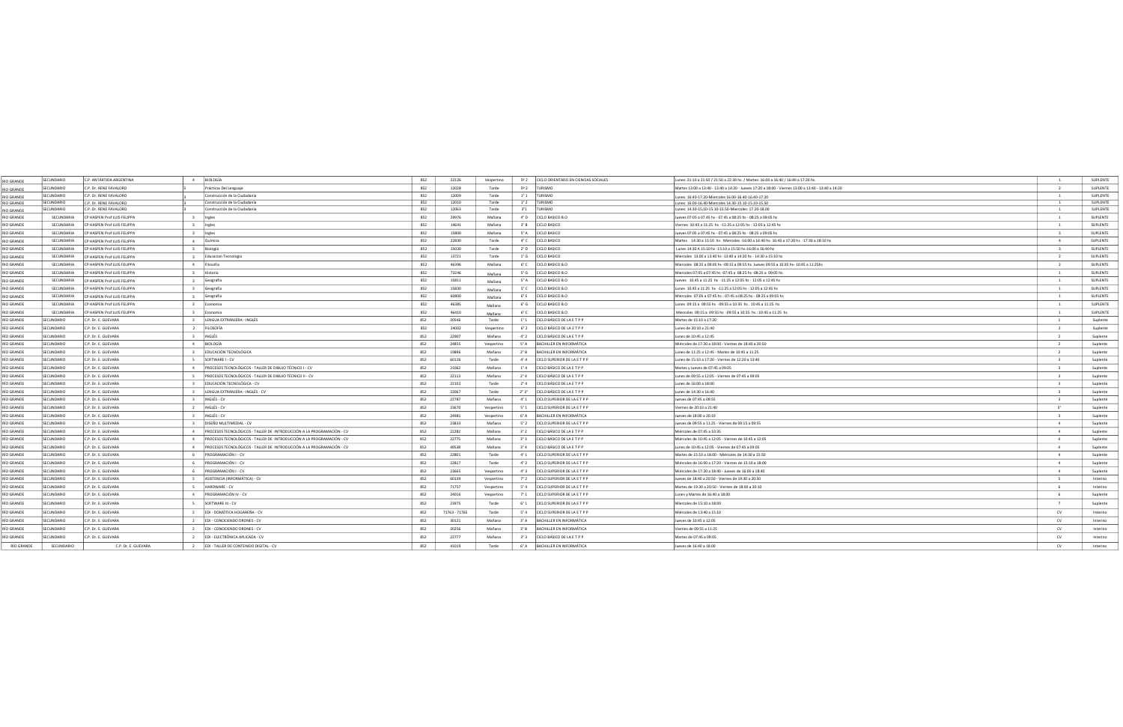| <b>RIO GRANDE</b>                      | SECUNDARIO<br>C.P. ANTÁRTIDA ARGENTINA      | 4 BIOLOGÍA                                                                 | 852 | 22126         | Vespertino |     | 5º 2 CICLO ORIENTADO EN CIENCIAS SOCIALES | Lunes: 21:10 a 21:50 / 21:50 a 22:30 hs. / Martes: 16:00 a 16:40 / 16:40 a 17:20 hs                       |                         | SUPLENTE |
|----------------------------------------|---------------------------------------------|----------------------------------------------------------------------------|-----|---------------|------------|-----|-------------------------------------------|-----------------------------------------------------------------------------------------------------------|-------------------------|----------|
|                                        | C.P. Dr. RENE FAVALORO<br><b>SECUNDARIO</b> | Prácticas Del Lenguaje                                                     | 852 | 12028         | Tarde      |     | 5º 2 TURISMO                              | Martes 13:00 a 13:40 - 13:40 a 14:20 - Jueves 17:20 a 18:00 - Viernes 13:00 a 13:40 - 13:40 a 14:20       | $\overline{2}$          | SUPLENTE |
| RIO GRAND                              | SECUNDARIO<br>C.P. Dr. RENE FAVALORO        | Construcción de la Ciudadanía                                              | 852 | 12009         | Tarde      |     | 1°1   TURISMO                             |                                                                                                           |                         | SUPLENTE |
| <b>RIO GRANDE</b><br><b>RIO GRANDE</b> | ECUNDARIO<br>C.P. Dr. RENE FAVALORO         | Construcción de la Ciudadanía                                              | 852 | 12010         | Tarde      |     | 1° 2 TURISMO                              | nes: 16:40-17.20-Miercoles 16.00-16.40-16.40-17:20<br>unes: 16:00-16.40-Miercoles 14.30-15.10-15.10-15.50 |                         | SUPLENTE |
| <b>RIO GRANDE</b>                      | SECUNDARIO<br>C.P. Dr. RENE FAVALORO        | Construcción de la Ciudadanía                                              | 852 | 12063         | Tarde      |     | 3°1   TURISMO                             | Lunes: 14.30-15;10-15.10-15.50-Miercoles: 17.20-18.00                                                     | $\overline{1}$          | SUPLENTE |
| <b>RIO GRANDE</b>                      | SECUNDARIA<br>CP HASPEN Prof LUIS FELIPPA   | 3 Ingles                                                                   | 852 | 29976         | Mañana     |     | 4° D CICLO BASICO B.O                     | Jueves 07:05 a 07.45 hs - 07.45 a 08:25 hs - 08:25 a 09:05 hs                                             |                         | SUPLENTE |
| <b>RIO GRANDE</b>                      | SECUNDARIA<br>CP HASPEN Prof LUIS FELIPPA   | 3 Ingles                                                                   | 852 | 14641         | Mañana     |     | 3° B CICLO BASICO                         | Viernes 10:45 a 11:25 hs -11:25 a 12:05 hs - 12:05 a 12:45 hs                                             | $\overline{1}$          | SUPLENTE |
| <b>RIO GRANDE</b>                      | SECUNDARIA<br>CP HASPEN Prof LUIS FELIPPA   | 3 Ingles                                                                   | 852 | 15800         | Mañana     |     | 5° A CICLO BASICO                         | Jueves 07:05 a 07:45 hs - 07:45 a 08:25 hs - 08:25 a 09:05 hs                                             |                         | SUPLENTE |
| <b>RIO GRANDE</b>                      | SECUNDARIA<br>CP HASPEN Prof LUIS FELIPPA   | 4 Quimica                                                                  | 852 | 22830         | Tarde      |     | 4° C CICLO BASICO                         | Martes 14:30 a 15:10 hs- Miercoles -16:00 a 16:40 hs- 16:40 a 17:20 hs -17:30 a 18:10 hs                  | $\overline{4}$          | SUPLENTE |
| <b>RIO GRANDE</b>                      | CP HASPEN Prof LUIS FELIPPA<br>SECUNDARIA   | 3 Biologia                                                                 | 852 | 15030         | Tarde      |     | 2° D CICLO BASICO                         | Lunes 14:30 A 15:10 hs -15:10 a 15:50 hs-16:00 a 16:40 hs                                                 | $\overline{\mathbf{a}}$ | SUPLENTE |
| <b>RIO GRANDE</b>                      | SECUNDARIA<br>CP HASPEN Prof LUIS FELIPPA   | 3 Educacion Tecnologia                                                     | 852 | 13721         | Tarde      |     | 1° G CICLO BASICO                         | Miercoles 13.00 a 13:40 hs -13:40 a 14:20 hs - 14:30 a 15:10 hs                                           | $\overline{2}$          | SUPLENTE |
| <b>RIO GRANDE</b>                      | SECUNDARIA<br>CP HASPEN Prof LUIS FELIPPA   | 4 Filosofia                                                                | 852 | 46396         | Mañana     |     | 6° C CICLO BASICO B.O                     | Miercoles 08:25 a 09:05 hs -09:15 a 09:55 hs Jueves 09:55 a 10:35 hs- 10:45 a 11:25hs                     | $\overline{2}$          | SUPLENTE |
| <b>RIO GRANDE</b>                      | P HASPEN Prof LUIS FELIPPA<br>SECUNDARIA    | 3 Historia                                                                 | 852 | 73246         | Mañana     |     | 5° G CICLO BASICO B.O                     | Miercoles 07:05 a 07:45 hs -07:45 a 08:25 hs -08:25 a 09:05 hs                                            | $\overline{1}$          | SUPLENTE |
| <b>RIO GRANDE</b>                      | SECUNDARIA<br>CP HASPEN Prof LUIS FELIPPA   | 3 Geografia                                                                | 852 | 15811         | Mañana     |     | 5° A CICLO BASICO B.O                     | Jueves 10.45 a 11:25 hs -11:25 a 12:05 hs - 12:05 a 12:45 hs                                              | $\overline{1}$          | SUPLENTE |
| <b>RIO GRANDE</b>                      | SECUNDARIA<br>CP HASPEN Prof LUIS FELIPPA   | 3 Geografia                                                                | 852 | 15830         | Mañana     |     | 5° C CICLO BASICO B.O                     | Lunes 10.45 a 11:25 hs -11:25 a 12:05 hs - 12:05 a 12:45 hs                                               | <sup>1</sup>            | SUPLENTE |
| <b>RIO GRANDE</b>                      | SECUNDARIA<br>CP HASPEN Prof LUIS FELIPPA   | 3 Geografia                                                                | 852 | 60800         | Mañana     |     | 6° E CICLO BASICO B.O                     | Miercoles 07:05 a 07:45 hs - 07:45 a 08:25 hs - 08:25 a 09:05 hs                                          | $\overline{1}$          | SUPLENTE |
| <b>RIO GRANDE</b>                      | SECUNDARIA<br>CP HASPEN Prof LUIS FELIPPA   | 3 Economia                                                                 | 852 | 46385         | Mañana     |     | 6° G CICLO BASICO B.O                     | Lunes 09:15 a 09:55 hs -09:55 a 10:35 hs . 10:45 a 11:25 hs                                               | $\mathbf{1}$            | SUPLENTE |
| <b>RIO GRANDE</b>                      | SECUNDARIA<br>CP HASPEN Prof LUIS FELIPPA   | 3 Economia                                                                 | 852 | 46410         | Mañana     |     | 6° C CICLO BASICO B.O                     | Miercoles 09:15 a 09:55 hs -09:55 a 10:35 hs : 10:45 a 11:25 hs                                           | $\overline{1}$          | SUPLENTE |
| RÍO GRANDE                             | SECUNDARIO<br>C.P. Dr. E. GUEVARA           | 3 LENGUA EXTRANJERA - INGLÉS                                               | 852 | 20546         | Tarde      |     | 1°1 CICLO BÁSICO DE LA ETPP               | Martes de 15:10 a 17:20                                                                                   |                         | Suplente |
| RÍO GRANDE                             | SECUNDARIO<br>C.P. Dr. E. GUEVARA           | 2 FILOSOFÍA                                                                | 852 | 24002         | Vespertino |     | 6° 2 CICLO BÁSICO DE LA ETPP              | unes de 20:10 a 21:40                                                                                     | $\overline{2}$          | Suplente |
| RÍO GRANDE                             | SECUNDARIO<br>C.P. Dr. E. GUEVARA           | 3 INGLÉS                                                                   | 852 | 22807         | Mañana     |     | 4° 2 CICLO BÁSICO DE LA ETPP              | unes de 10:45 a 12:45                                                                                     | $\overline{2}$          | Suplente |
| <b>RÍO GRANDE</b>                      | SECUNDARIO<br>C.P. Dr. E. GUEVARA           | 4 BIOLOGÍA                                                                 | 852 | 24855         | Vespertino |     | 5° A BACHILLER EN INFORMÁTICA             | Miércoles de 17:20 a 18:00 - Viernes de 18:40 a 20:50                                                     |                         | Suplente |
| RÍO GRANDE                             | SECUNDARIO<br>C.P. Dr. E. GUEVARA           | 3 EDUCACIÓN TECNOLÓGICA                                                    | 852 | 19896         | Mañana     |     | 2° B BACHILLER EN INFORMÁTICA             | Lunes de 11:25 a 12:45 - Martes de 10:45 a 11:25                                                          | $\overline{2}$          | Suplente |
| RÍO GRANDE                             | SECUNDARIO<br>C.P. Dr. E. GUEVARA           | 5 SOFTWARE I - CV                                                          | 852 | 60126         | Tarde      |     | 4° 4 CICLO SUPERIOR DE LA ETPP            | Lunes de 15:10 a 17:20 - Viernes de 12:20 a 13:40                                                         | $\overline{\mathbf{a}}$ | Suplente |
| <b>RÍO GRANDE</b>                      | C.P. Dr. E. GUEVARA<br><b>SECUNDARIO</b>    | 4 PROCESOS TECNOLÓGICOS - TALLER DE DIBUJO TÉCNICO I - CV                  | 852 | 21062         | Mañana     |     | 1° 4 CICLO BÁSICO DE LA ETPP              | Martes y Jueves de 07:45 a 09:05                                                                          | $\overline{3}$          | Suplente |
| RÍO GRANDE                             | SECUNDARIO<br>C.P. Dr. E. GUEVARA           | 5 PROCESOS TECNOLÓGICOS - TALLER DE DIBUJO TÉCNICO II - CV                 | 852 | 22113         | Mañana     |     | 2° 4 CICLO BÁSICO DE LA ETPP              | Lunes de 09:55 a 12:05 - Viernes de 07:45 a 09:05                                                         |                         | Suplente |
| RÍO GRANDE                             | C.P. Dr. E. GUEVARA<br>SECUNDARIO           | 3 EDUCACIÓN TECNOLÓGICA - CV                                               | 852 | 22102         | Tarde      |     | 2° 4 CICLO BÁSICO DE LA ETPP              | unes de 16:00 a 18:00                                                                                     | $\overline{\mathbf{3}}$ | Suplente |
| RÍO GRANDE                             | SECUNDARIO<br>C.P. Dr. E. GUEVARA           | 3 LENGUA EXTRANJERA - INGLÉS - CV                                          | 852 | 22067         | Tarde      |     | 2° 3° CICLO BÁSICO DE LA ETPP             | Lunes de 14:30 a 16:40                                                                                    | $\overline{a}$          | Suplente |
| RÍO GRANDE                             | C.P. Dr. E. GUEVARA<br>SECUNDARIO           | 3 INGLÉS - CV                                                              | 852 | 22787         | Mañana     |     | 4° 1 CICLO SUPERIOR DE LA ETPP            | ueves de 07:45 a 09:55                                                                                    | $\overline{3}$          | Suplente |
| RÍO GRANDE                             | C.P. Dr. E. GUEVARA<br>SECUNDARIO           | 2 INGLÉS - CV                                                              | 852 | 23670         | Vespertino |     | 5° 1 CICLO SUPERIOR DE LA ETPP            | Viernes de 20:10 a 21:40                                                                                  | $2^{\circ}$             | Suplente |
| RÍO GRANDE                             | SECUNDARIO<br>C.P. Dr. E. GUEVARA           | 3 INGLÉS - CV                                                              | 852 | 24981         | Vespertino |     | 6° A BACHILLER EN INFORMÁTICA             | Jueves de 18:00 a 20:10                                                                                   | $\overline{3}$          | Suplente |
| RÍO GRANDE                             | SECUNDARIO<br>C.P. Dr. E. GUEVARA           | 3 DISEÑO MULTIMEDIAL - CV                                                  | 852 | 23833         | Mañana     |     | 5° 2 CICLO SUPERIOR DE LA ETPP            | Jueves de 09:55 a 11:25 - Viernes de 09:15 a 09:55                                                        | $\overline{a}$          | Suplente |
| RÍO GRANDE                             | SECUNDARIO<br>C.P. Dr. E. GUEVARA           | 4 PROCESOS TECNOLÓGICOS - TALLER DE INTRODUCCIÓN A LA PROGRAMACIÓN - CV    | 852 | 22282         | Mañana     |     | 3° 2 CICLO BÁSICO DE LA ETPP              | Miércoles de 07:45 a 10:35                                                                                | $\overline{a}$          | Suplente |
| RÍO GRANDE                             | SECUNDARIO<br>C.P. Dr. E. GUEVARA           | 4 PROCESOS TECNOLÓGICOS - TALLER DE INTRODUCCIÓN A LA PROGRAMACIÓN - CV    | 852 | 22775         | Mañana     |     | 3° 3 CICLO BÁSICO DE LA ETPP              | Miércoles de 10:45 a 12:05 - Viernes de 10:45 a 12:05                                                     | $\overline{a}$          | Suplente |
| <b>RÍO GRANDE</b>                      | SECUNDARIO<br>C.P. Dr. E. GUEVARA           | PROCESOS TECNOLÓGICOS - TALLER DE INTRODUCCIÓN A LA PROGRAMACIÓN - CV<br>4 | 852 | 49538         | Mañana     |     | 3° 4 CICLO BÁSICO DE LA ETPP              | Lunes de 10:45 a 12:05 - Viernes de 07:45 a 09:05                                                         | $\overline{a}$          | Suplente |
| RÍO GRANDE                             | SECUNDARIO<br>C.P. Dr. E. GUEVARA           | 6 PROGRAMACIÓN I - CV                                                      | 852 | 22801         | Tarde      |     | 4° 1 CICLO SUPERIOR DE LA ETPP            | Martes de 15:10 a 18:00 - Miércoles de 14:30 a 15:50                                                      | $\overline{4}$          | Suplente |
| RÍO GRANDE                             | SECUNDARIO<br>C.P. Dr. E. GUEVARA           | 6 PROGRAMACIÓN I - CV                                                      | 852 | 22817         | Tarde      |     | 4° 2 CICLO SUPERIOR DE LA ETPP            | Miércoles de 16:00 a 17:20 - Viernes de 15:10 a 18:00                                                     | $\overline{a}$          | Suplente |
| RÍO GRANDE                             | SECUNDARIO<br>C.P. Dr. E. GUEVARA           | 6 PROGRAMACIÓN I - CV                                                      | 852 | 23665         | Vespertino |     | 4° 3 CICLO SUPERIOR DE LA ETPP            | Miércoles de 17:20 a 18:40 - Jueves de 16:00 a 18:40                                                      | $\overline{a}$          | Suplente |
| <b>RÍO GRANDE</b>                      | C.P. Dr. E. GUEVARA<br><b>SECUNDARIO</b>    | 5 ASISTENCIA (INFORMÁTICA) - CV                                            | 852 | 60139         | Vespertino |     | 7° 2 CICLO SUPERIOR DE LA ETPP            | Jueves de 18:40 a 20:50 - Viernes de 19:30 a 20:50                                                        |                         | Interino |
| RÍO GRANDE                             | SECUNDARIO<br>C.P. Dr. E. GUEVARA           | 5 HARDWARE - CV                                                            | 852 | 71757         | Vespertino |     | 5° 4 CICLO SUPERIOR DE LA ETPP            | Martes de 19:30 a 20:50 - Viernes de 18:00 a 20:10                                                        |                         | Interino |
| RÍO GRANDE                             | SECUNDARIO<br>C.P. Dr. E. GUEVARA           | 4 PROGRAMACIÓN IV - CV                                                     | 852 | 24016         | Vespertino |     | 7° 1 CICLO SUPERIOR DE LA ETPP            | Lunes y Martes de 16:40 a 18:00                                                                           | - 6                     | Suplente |
| RÍO GRANDE                             | SECUNDARIO<br>C.P. Dr. E. GUEVARA           | 5 SOFTWARE III - CV                                                        | 852 | 23975         | Tarde      |     | 6° 1 CICLO SUPERIOR DE LA ETPP            | Míercoles de 15:10 a 18:00                                                                                |                         | Suplente |
| RÍO GRANDE                             | SECUNDARIO<br>C.P. Dr. E. GUEVARA           | 2 EDI - DOMÓTICA HOGAREÑA - CV                                             | 852 | 71763 - 71765 | Tarde      |     | 5° 4 CICLO SUPERIOR DE LA ETPP            | Miércoles de 13:40 a 15:10                                                                                | CV                      | Interino |
| RÍO GRANDE                             | C.P. Dr. E. GUEVARA<br>SECUNDARIO           | 2 EDI - CONOCIENDO DRONES - CV                                             | 852 | 30121         | Mañana     |     | 3° A BACHILLER EN INFORMÁTICA             | Jueves de 10:45 a 12:05                                                                                   | CV                      | Interino |
| RÍO GRANDE                             | SECUNDARIO<br>C.P. Dr. E. GUEVARA           | 2 EDI - CONOCIENDO DRONES - CV                                             | 852 | 20256         | Mañana     |     | 3° B   BACHILLER EN INFORMÁTICA           | Viernes de 09:55 a 11:25                                                                                  | CV                      | Interino |
| RÍO GRANDE                             | C.P. Dr. E. GUEVARA<br>SECUNDARIO           | EDI - ELECTRÓNICA APLICADA - CV                                            | 852 | 22777         | Mañana     | 3°3 | CICLO BÁSICO DE LA ETPP                   | Martes de 07:45 a 09:05                                                                                   | CV                      | Interino |
| RÍO GRANDE                             | SECUNDARIO<br>C.P. Dr. E. GUEVARA           | 2 EDI - TALLER DE CONTENIDO DIGITAL - CV                                   | 852 | 41019         | Tarde      |     | 6° A BACHILLER EN INFORMÁTICA             | Jueves de 16:40 a 18:00                                                                                   | CV                      | Interino |
|                                        |                                             |                                                                            |     |               |            |     |                                           |                                                                                                           |                         |          |